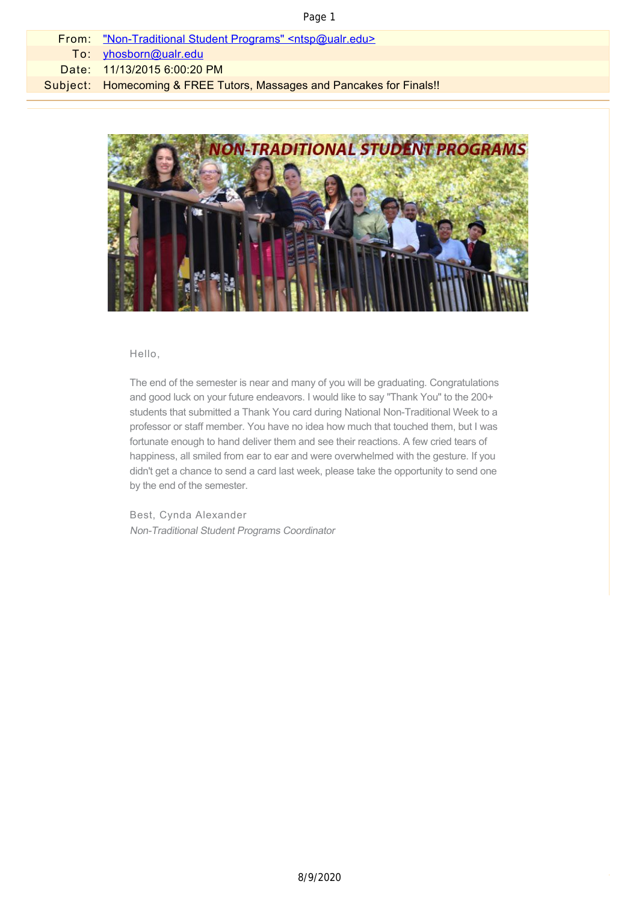### Page 1

| From: "Non-Traditional Student Programs" <ntsp@ualr.edu></ntsp@ualr.edu> |
|--------------------------------------------------------------------------|
| To: yhosborn@ualr.edu                                                    |
| Date: 11/13/2015 6:00:20 PM                                              |
| Subject: Homecoming & FREE Tutors, Massages and Pancakes for Finals!!    |
|                                                                          |



### Hello,

The end of the semester is near and many of you will be graduating. Congratulations and good luck on your future endeavors. I would like to say "Thank You" to the 200+ students that submitted a Thank You card during National Non-Traditional Week to a professor or staff member. You have no idea how much that touched them, but I was fortunate enough to hand deliver them and see their reactions. A few cried tears of happiness, all smiled from ear to ear and were overwhelmed with the gesture. If you didn't get a chance to send a card last week, please take the opportunity to send one by the end of the semester.

Best, Cynda Alexander Non-Traditional Student Programs Coordinator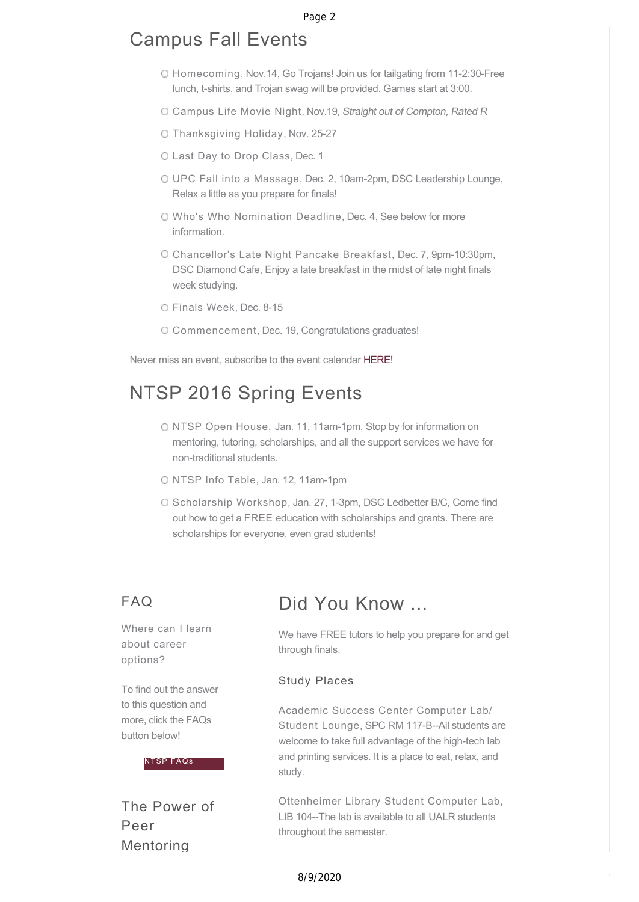# Campus Fall Events

- Homecoming, Nov.14, Go Trojans! Join us for tailgating from 11-2:30-Free lunch, t-shirts, and Trojan swag will be provided. Games start at 3:00.
- O Campus Life Movie Night, Nov.19, Straight out of Compton, Rated R
- Thanksgiving Holiday, Nov. 25-27
- Last Day to Drop Class, Dec. 1
- UPC Fall into a Massage, Dec. 2, 10am-2pm, DSC Leadership Lounge, Relax a little as you prepare for finals!
- Who's Who Nomination Deadline, Dec. 4, See below for more information.
- Chancellor's Late Night Pancake Breakfast, Dec. 7, 9pm-10:30pm, DSC Diamond Cafe, Enjoy a late breakfast in the midst of late night finals week studying.
- Finals Week, Dec. 8-15
- Commencement, Dec. 19, Congratulations graduates!

Never miss an event, subscribe to the event calendar [HERE!](http://officeofcampuslife.cmail20.com/t/r-l-ziyjig-djirtljiit-y/)

# NTSP 2016 Spring Events

- O NTSP Open House, Jan. 11, 11am-1pm, Stop by for information on mentoring, tutoring, scholarships, and all the support services we have for non-traditional students.
- NTSP Info Table, Jan. 12, 11am-1pm
- O Scholarship Workshop, Jan. 27, 1-3pm, DSC Ledbetter B/C, Come find out how to get a FREE education with scholarships and grants. There are scholarships for everyone, even grad students!

### FAQ

Where can I learn about career options?

To find out the answer to this question and more, click the FAQs button below!

#### [NTSP FAQs](http://officeofcampuslife.cmail20.com/t/r-l-ziyjig-djirtljiit-j/)

The Power of Peer Mentoring

## Did You Know ...

We have FREE tutors to help you prepare for and get through finals.

### Study Places

Academic Success Center Computer Lab/ Student Lounge, SPC RM 117-B--All students are welcome to take full advantage of the high-tech lab and printing services. It is a place to eat, relax, and study.

Ottenheimer Library Student Computer Lab, LIB 104--The lab is available to all UALR students throughout the semester.

### 8/9/2020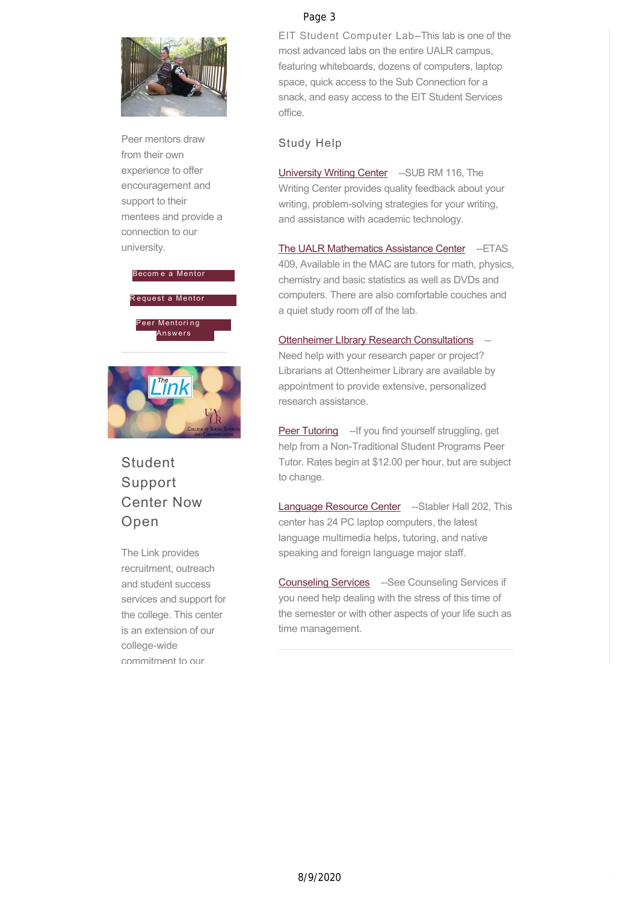

Peer mentors draw from their own experience to offer encouragement and support to their mentees and provide a connection to our university.



# **Student** Support Center Now Open

The Link provides recruitment, outreach and student success services and support for the college. This center is an extension of our college-wide commitment to our

### Page 3

EIT Student Computer Lab--This lab is one of the most advanced labs on the entire UALR campus, featuring whiteboards, dozens of computers, laptop space, quick access to the Sub Connection for a snack, and easy access to the EIT Student Services office.

### Study Help

[University Writing Center](http://officeofcampuslife.cmail20.com/t/r-l-ziyjig-djirtljiit-q/) -- SUB RM 116, The Writing Center provides quality feedback about your writing, problem-solving strategies for your writing, and assistance with academic technology.

[The UALR Mathematics Assistance Center](http://officeofcampuslife.cmail20.com/t/r-l-ziyjig-djirtljiit-a/) -- ETAS 409, Available in the MAC are tutors for math, physics, chemistry and basic statistics as well as DVDs and computers. There are also comfortable couches and a quiet study room off of the lab.

[Ottenheimer LIbrary Research Consultations](http://officeofcampuslife.cmail20.com/t/r-l-ziyjig-djirtljiit-f/) Need help with your research paper or project? Librarians at Ottenheimer Library are available by appointment to provide extensive, personalized research assistance.

[Peer Tutoring](http://officeofcampuslife.cmail20.com/t/r-l-ziyjig-djirtljiit-e/) --If you find yourself struggling, get help from a Non-Traditional Student Programs Peer Tutor. Rates begin at \$12.00 per hour, but are subject to change.

[Language Resource Center](http://officeofcampuslife.cmail20.com/t/r-l-ziyjig-djirtljiit-s/) -- Stabler Hall 202, This center has 24 PC laptop computers, the latest language multimedia helps, tutoring, and native speaking and foreign language major staff.

[Counseling Services](http://officeofcampuslife.cmail20.com/t/r-l-ziyjig-djirtljiit-g/) --See Counseling Services if you need help dealing with the stress of this time of the semester or with other aspects of your life such as time management.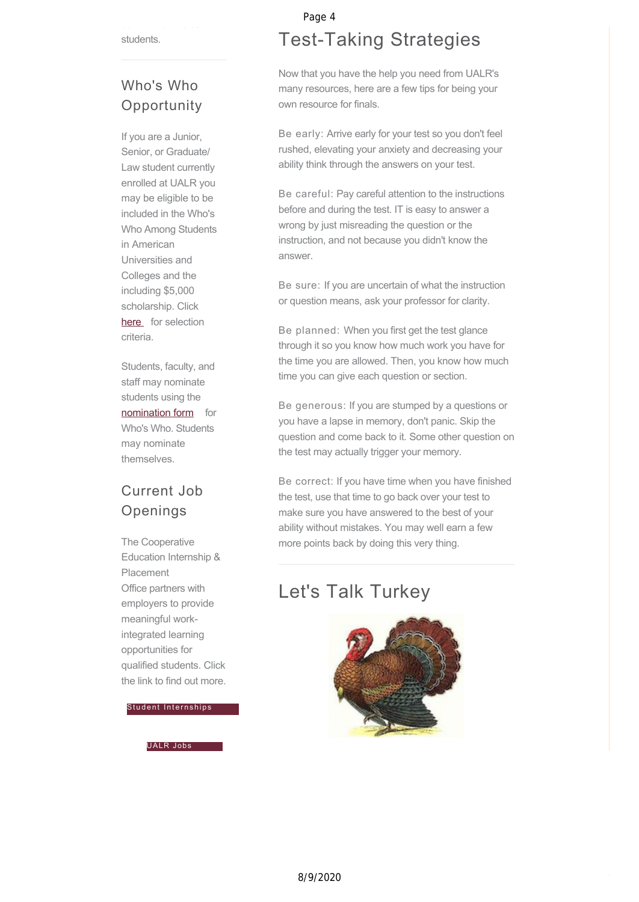students.

## Who's Who **Opportunity**

If you are a Junior, Senior, or Graduate/ Law student currently enrolled at UALR you may be eligible to be included in the Who's Who Among Students in American Universities and Colleges and the including \$5,000 scholarship. Click [here](http://officeofcampuslife.cmail20.com/t/r-l-ziyjig-djirtljiit-h/) for selection criteria.

Students, faculty, and staff may nominate students using the [nomination form](http://officeofcampuslife.cmail20.com/t/r-l-ziyjig-djirtljiit-k/) for Who's Who. Students may nominate themselves.

## Current Job Openings

The Cooperative Education Internship & Placement Office partners with employers to provide meaningful workintegrated learning opportunities for qualified students. Click the link to find out more.

[Student Internships](http://officeofcampuslife.cmail20.com/t/r-l-ziyjig-djirtljiit-u/)

[UALR Jobs](http://officeofcampuslife.cmail20.com/t/r-l-ziyjig-djirtljiit-o/)

## Page 4

# Test-Taking Strategies

Now that you have the help you need from UALR's many resources, here are a few tips for being your own resource for finals.

Be early: Arrive early for your test so you don't feel rushed, elevating your anxiety and decreasing your ability think through the answers on your test.

Be careful: Pay careful attention to the instructions before and during the test. IT is easy to answer a wrong by just misreading the question or the instruction, and not because you didn't know the answer.

Be sure: If you are uncertain of what the instruction or question means, ask your professor for clarity.

Be planned: When you first get the test glance through it so you know how much work you have for the time you are allowed. Then, you know how much time you can give each question or section.

Be generous: If you are stumped by a questions or you have a lapse in memory, don't panic. Skip the question and come back to it. Some other question on the test may actually trigger your memory.

Be correct: If you have time when you have finished the test, use that time to go back over your test to make sure you have answered to the best of your ability without mistakes. You may well earn a few more points back by doing this very thing.

# Let's Talk Turkey

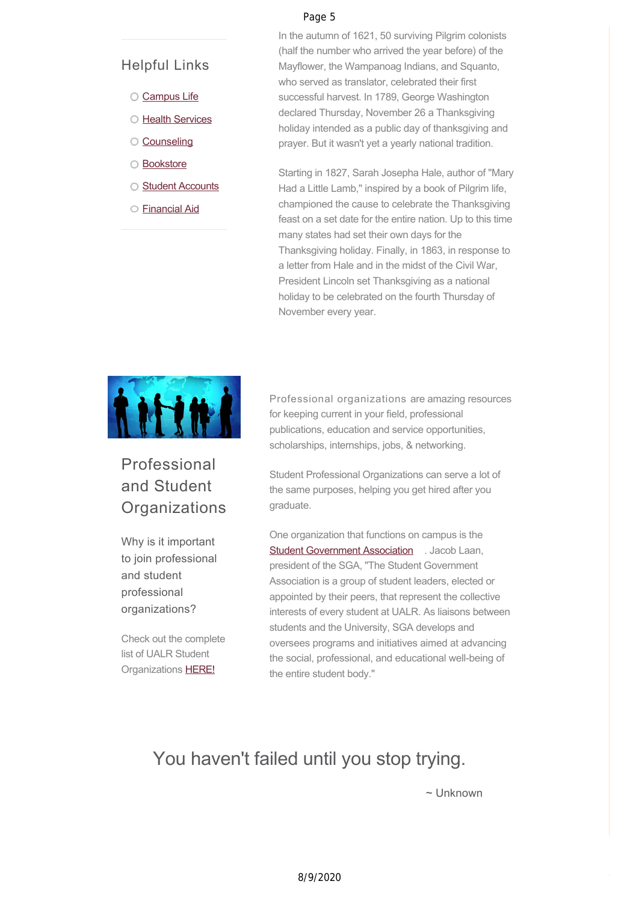### Page 5

### Helpful Links

- [Campus Life](http://officeofcampuslife.cmail20.com/t/r-l-ziyjig-djirtljiit-b/)
- **C** [Health Services](http://officeofcampuslife.cmail20.com/t/r-l-ziyjig-djirtljiit-n/)
- [Counseling](http://officeofcampuslife.cmail20.com/t/r-l-ziyjig-djirtljiit-p/)
- [Bookstore](http://officeofcampuslife.cmail20.com/t/r-l-ziyjig-djirtljiit-x/)
- **C** [Student Accounts](http://officeofcampuslife.cmail20.com/t/r-l-ziyjig-djirtljiit-m/)
- [Financial Aid](http://officeofcampuslife.cmail20.com/t/r-l-ziyjig-djirtljiit-c/)

In the autumn of 1621, 50 surviving Pilgrim colonists (half the number who arrived the year before) of the Mayflower, the Wampanoag Indians, and Squanto, who served as translator, celebrated their first successful harvest. In 1789, George Washington declared Thursday, November 26 a Thanksgiving holiday intended as a public day of thanksgiving and prayer. But it wasn't yet a yearly national tradition.

Starting in 1827, Sarah Josepha Hale, author of "Mary Had a Little Lamb," inspired by a book of Pilgrim life, championed the cause to celebrate the Thanksgiving feast on a set date for the entire nation. Up to this time many states had set their own days for the Thanksgiving holiday. Finally, in 1863, in response to a letter from Hale and in the midst of the Civil War, President Lincoln set Thanksgiving as a national holiday to be celebrated on the fourth Thursday of November every year.



# Professional and Student **Organizations**

Why is it important to join professional and student professional organizations?

Check out the complete list of UALR Student Organizations [HERE!](http://officeofcampuslife.cmail20.com/t/r-l-ziyjig-djirtljiit-yd/)

Professional organizations are amazing resources for keeping current in your field, professional publications, education and service opportunities, scholarships, internships, jobs, & networking.

Student Professional Organizations can serve a lot of the same purposes, helping you get hired after you graduate.

One organization that functions on campus is the [Student Government Association](http://officeofcampuslife.cmail20.com/t/r-l-ziyjig-djirtljiit-yh/) . Jacob Laan, president of the SGA, "The Student Government Association is a group of student leaders, elected or appointed by their peers, that represent the collective interests of every student at UALR. As liaisons between students and the University, SGA develops and oversees programs and initiatives aimed at advancing the social, professional, and educational well-being of the entire student body."

# You haven't failed until you stop trying.

~ Unknown